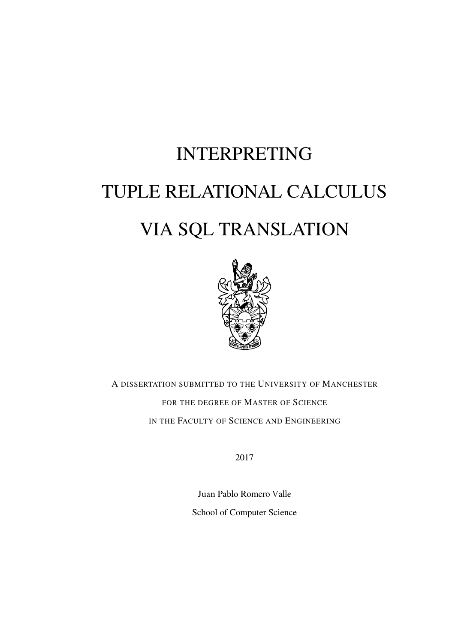## INTERPRETING TUPLE RELATIONAL CALCULUS VIA SQL TRANSLATION



A DISSERTATION SUBMITTED TO THE UNIVERSITY OF MANCHESTER FOR THE DEGREE OF MASTER OF SCIENCE IN THE FACULTY OF SCIENCE AND ENGINEERING

2017

Juan Pablo Romero Valle School of Computer Science